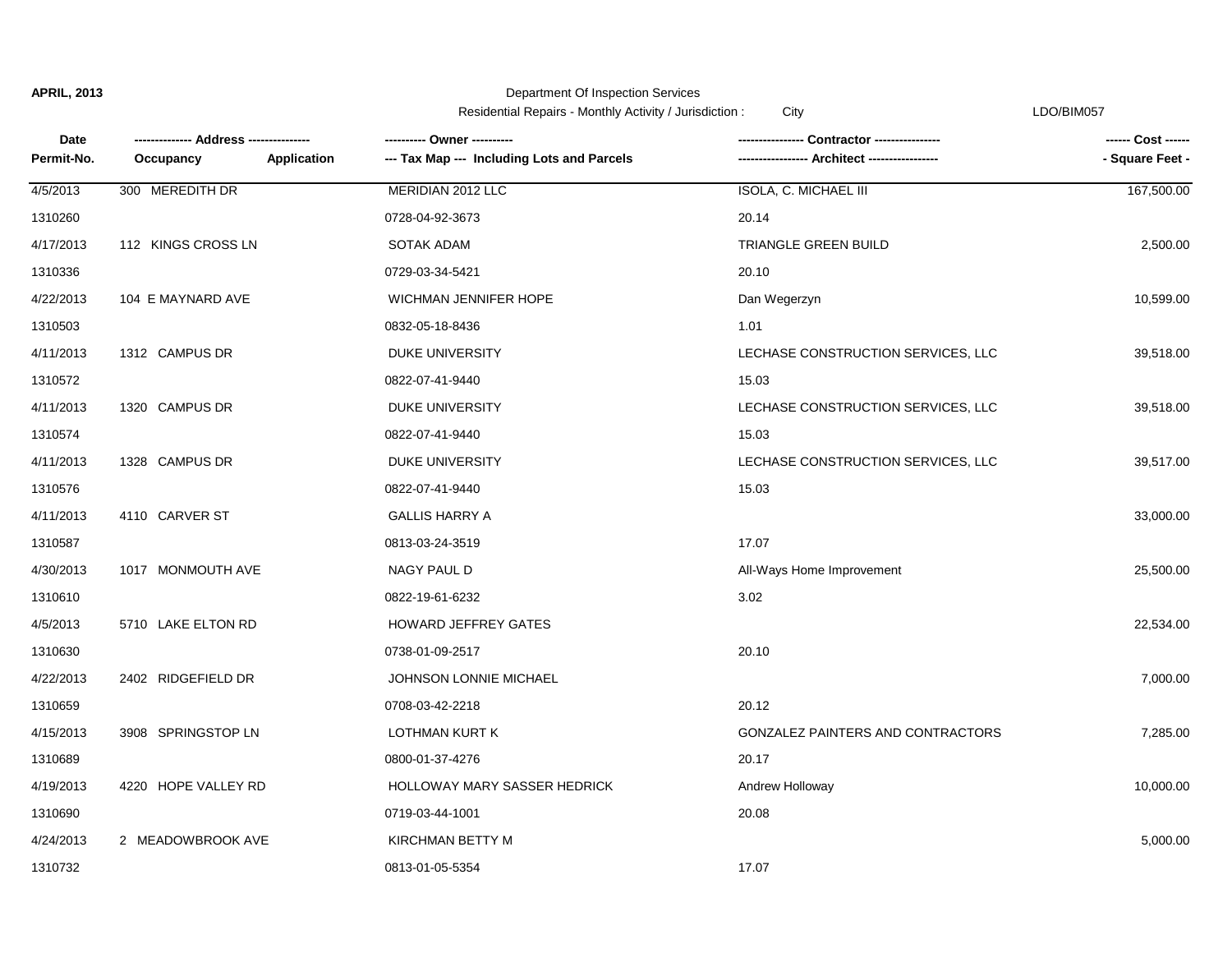Department Of Inspection Services

Residential Repairs - Monthly Activity / Jurisdiction : City City Contact Contact Contact Contact Contact Conta

| Date       |                     | ---------- Owner ----------                                      | Contractor ---------------         | ------ Cost ------ |
|------------|---------------------|------------------------------------------------------------------|------------------------------------|--------------------|
| Permit-No. | Occupancy           | <b>Application</b><br>--- Tax Map --- Including Lots and Parcels | -- Architect ---                   | - Square Feet -    |
| 4/5/2013   | 300 MEREDITH DR     | MERIDIAN 2012 LLC                                                | ISOLA, C. MICHAEL III              | 167,500.00         |
| 1310260    |                     | 0728-04-92-3673                                                  | 20.14                              |                    |
| 4/17/2013  | 112 KINGS CROSS LN  | SOTAK ADAM                                                       | <b>TRIANGLE GREEN BUILD</b>        | 2,500.00           |
| 1310336    |                     | 0729-03-34-5421                                                  | 20.10                              |                    |
| 4/22/2013  | 104 E MAYNARD AVE   | <b>WICHMAN JENNIFER HOPE</b>                                     | Dan Wegerzyn                       | 10,599.00          |
| 1310503    |                     | 0832-05-18-8436                                                  | 1.01                               |                    |
| 4/11/2013  | 1312 CAMPUS DR      | DUKE UNIVERSITY                                                  | LECHASE CONSTRUCTION SERVICES, LLC | 39,518.00          |
| 1310572    |                     | 0822-07-41-9440                                                  | 15.03                              |                    |
| 4/11/2013  | 1320 CAMPUS DR      | DUKE UNIVERSITY                                                  | LECHASE CONSTRUCTION SERVICES, LLC | 39,518.00          |
| 1310574    |                     | 0822-07-41-9440                                                  | 15.03                              |                    |
| 4/11/2013  | 1328 CAMPUS DR      | DUKE UNIVERSITY                                                  | LECHASE CONSTRUCTION SERVICES, LLC | 39,517.00          |
| 1310576    |                     | 0822-07-41-9440                                                  | 15.03                              |                    |
| 4/11/2013  | 4110 CARVER ST      | <b>GALLIS HARRY A</b>                                            |                                    | 33,000.00          |
| 1310587    |                     | 0813-03-24-3519                                                  | 17.07                              |                    |
| 4/30/2013  | 1017 MONMOUTH AVE   | NAGY PAUL D                                                      | All-Ways Home Improvement          | 25,500.00          |
| 1310610    |                     | 0822-19-61-6232                                                  | 3.02                               |                    |
| 4/5/2013   | 5710 LAKE ELTON RD  | HOWARD JEFFREY GATES                                             |                                    | 22,534.00          |
| 1310630    |                     | 0738-01-09-2517                                                  | 20.10                              |                    |
| 4/22/2013  | 2402 RIDGEFIELD DR  | JOHNSON LONNIE MICHAEL                                           |                                    | 7,000.00           |
| 1310659    |                     | 0708-03-42-2218                                                  | 20.12                              |                    |
| 4/15/2013  | 3908 SPRINGSTOP LN  | LOTHMAN KURT K                                                   | GONZALEZ PAINTERS AND CONTRACTORS  | 7,285.00           |
| 1310689    |                     | 0800-01-37-4276                                                  | 20.17                              |                    |
| 4/19/2013  | 4220 HOPE VALLEY RD | HOLLOWAY MARY SASSER HEDRICK                                     | Andrew Holloway                    | 10,000.00          |
| 1310690    |                     | 0719-03-44-1001                                                  | 20.08                              |                    |
| 4/24/2013  | 2 MEADOWBROOK AVE   | <b>KIRCHMAN BETTY M</b>                                          |                                    | 5,000.00           |
| 1310732    |                     | 0813-01-05-5354                                                  | 17.07                              |                    |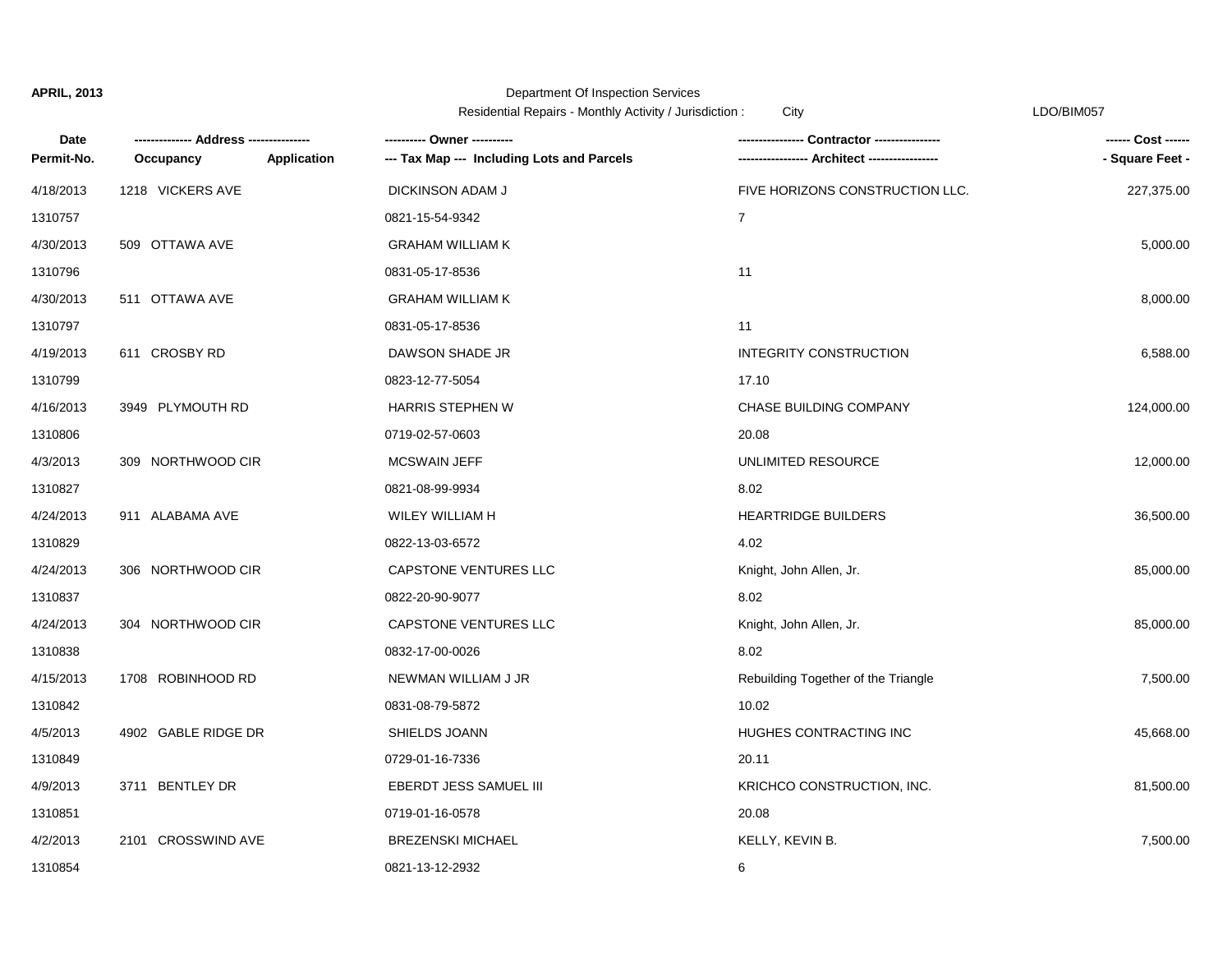## Department Of Inspection Services

Residential Repairs - Monthly Activity / Jurisdiction : City Changes Contained the CDO/BIM057

| Date       |                          | ---------- Owner ----------                | Contractor ---------------          | ------ Cost ------ |
|------------|--------------------------|--------------------------------------------|-------------------------------------|--------------------|
| Permit-No. | Occupancy<br>Application | --- Tax Map --- Including Lots and Parcels |                                     | - Square Feet -    |
| 4/18/2013  | 1218 VICKERS AVE         | DICKINSON ADAM J                           | FIVE HORIZONS CONSTRUCTION LLC.     | 227,375.00         |
| 1310757    |                          | 0821-15-54-9342                            | $\overline{7}$                      |                    |
| 4/30/2013  | 509 OTTAWA AVE           | <b>GRAHAM WILLIAM K</b>                    |                                     | 5,000.00           |
| 1310796    |                          | 0831-05-17-8536                            | 11                                  |                    |
| 4/30/2013  | 511 OTTAWA AVE           | <b>GRAHAM WILLIAM K</b>                    |                                     | 8,000.00           |
| 1310797    |                          | 0831-05-17-8536                            | 11                                  |                    |
| 4/19/2013  | 611 CROSBY RD            | DAWSON SHADE JR                            | INTEGRITY CONSTRUCTION              | 6,588.00           |
| 1310799    |                          | 0823-12-77-5054                            | 17.10                               |                    |
| 4/16/2013  | 3949 PLYMOUTH RD         | <b>HARRIS STEPHEN W</b>                    | <b>CHASE BUILDING COMPANY</b>       | 124,000.00         |
| 1310806    |                          | 0719-02-57-0603                            | 20.08                               |                    |
| 4/3/2013   | 309 NORTHWOOD CIR        | <b>MCSWAIN JEFF</b>                        | UNLIMITED RESOURCE                  | 12,000.00          |
| 1310827    |                          | 0821-08-99-9934                            | 8.02                                |                    |
| 4/24/2013  | 911 ALABAMA AVE          | WILEY WILLIAM H                            | <b>HEARTRIDGE BUILDERS</b>          | 36,500.00          |
| 1310829    |                          | 0822-13-03-6572                            | 4.02                                |                    |
| 4/24/2013  | 306 NORTHWOOD CIR        | CAPSTONE VENTURES LLC                      | Knight, John Allen, Jr.             | 85,000.00          |
| 1310837    |                          | 0822-20-90-9077                            | 8.02                                |                    |
| 4/24/2013  | 304 NORTHWOOD CIR        | CAPSTONE VENTURES LLC                      | Knight, John Allen, Jr.             | 85,000.00          |
| 1310838    |                          | 0832-17-00-0026                            | 8.02                                |                    |
| 4/15/2013  | 1708 ROBINHOOD RD        | NEWMAN WILLIAM J JR                        | Rebuilding Together of the Triangle | 7,500.00           |
| 1310842    |                          | 0831-08-79-5872                            | 10.02                               |                    |
| 4/5/2013   | 4902 GABLE RIDGE DR      | SHIELDS JOANN                              | HUGHES CONTRACTING INC              | 45,668.00          |
| 1310849    |                          | 0729-01-16-7336                            | 20.11                               |                    |
| 4/9/2013   | 3711 BENTLEY DR          | EBERDT JESS SAMUEL III                     | KRICHCO CONSTRUCTION, INC.          | 81,500.00          |
| 1310851    |                          | 0719-01-16-0578                            | 20.08                               |                    |
| 4/2/2013   | 2101 CROSSWIND AVE       | <b>BREZENSKI MICHAEL</b>                   | KELLY, KEVIN B.                     | 7,500.00           |
| 1310854    |                          | 0821-13-12-2932                            | 6                                   |                    |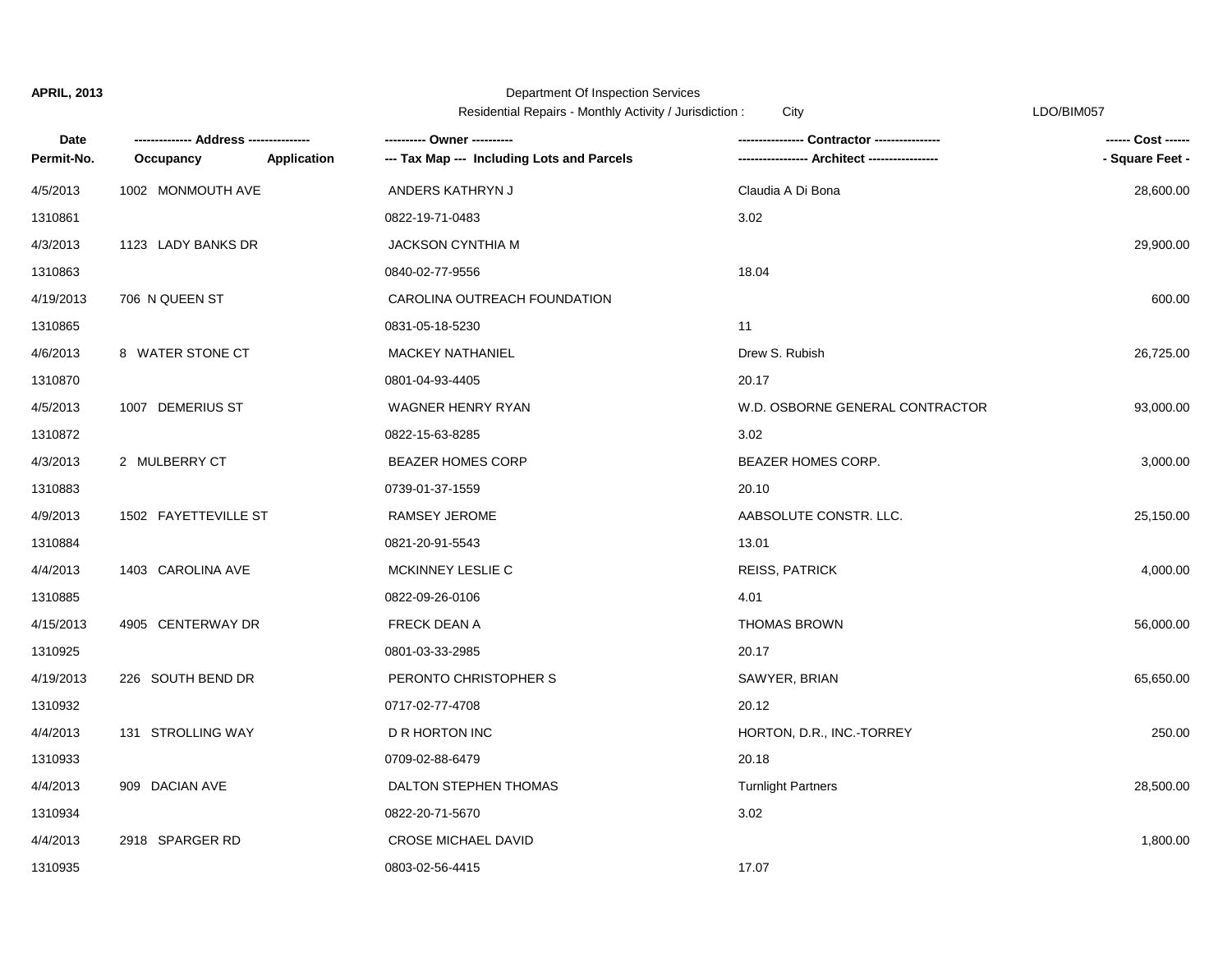|                    |                      |                    | Residential Repairs - Monthly Activity / Jurisdiction : | City                            | LDO/BIM057         |
|--------------------|----------------------|--------------------|---------------------------------------------------------|---------------------------------|--------------------|
| Date<br>Permit-No. |                      |                    | ---------- Owner ----------                             | -- Contractor ---------------   | ------ Cost ------ |
|                    | Occupancy            | <b>Application</b> | --- Tax Map --- Including Lots and Parcels              |                                 | - Square Feet -    |
| 4/5/2013           | 1002 MONMOUTH AVE    |                    | ANDERS KATHRYN J                                        | Claudia A Di Bona               | 28,600.00          |
| 1310861            |                      |                    | 0822-19-71-0483                                         | 3.02                            |                    |
| 4/3/2013           | 1123 LADY BANKS DR   |                    | <b>JACKSON CYNTHIA M</b>                                |                                 | 29,900.00          |
| 1310863            |                      |                    | 0840-02-77-9556                                         | 18.04                           |                    |
| 4/19/2013          | 706 N QUEEN ST       |                    | CAROLINA OUTREACH FOUNDATION                            |                                 | 600.00             |
| 1310865            |                      |                    | 0831-05-18-5230                                         | 11                              |                    |
| 4/6/2013           | 8 WATER STONE CT     |                    | <b>MACKEY NATHANIEL</b>                                 | Drew S. Rubish                  | 26,725.00          |
| 1310870            |                      |                    | 0801-04-93-4405                                         | 20.17                           |                    |
| 4/5/2013           | 1007 DEMERIUS ST     |                    | WAGNER HENRY RYAN                                       | W.D. OSBORNE GENERAL CONTRACTOR | 93,000.00          |
| 1310872            |                      |                    | 0822-15-63-8285                                         | 3.02                            |                    |
| 4/3/2013           | 2 MULBERRY CT        |                    | <b>BEAZER HOMES CORP</b>                                | BEAZER HOMES CORP.              | 3,000.00           |
| 1310883            |                      |                    | 0739-01-37-1559                                         | 20.10                           |                    |
| 4/9/2013           | 1502 FAYETTEVILLE ST |                    | RAMSEY JEROME                                           | AABSOLUTE CONSTR. LLC.          | 25,150.00          |
| 1310884            |                      |                    | 0821-20-91-5543                                         | 13.01                           |                    |
| 4/4/2013           | 1403 CAROLINA AVE    |                    | MCKINNEY LESLIE C                                       | <b>REISS, PATRICK</b>           | 4,000.00           |
| 1310885            |                      |                    | 0822-09-26-0106                                         | 4.01                            |                    |
| 4/15/2013          | 4905 CENTERWAY DR    |                    | FRECK DEAN A                                            | <b>THOMAS BROWN</b>             | 56,000.00          |
| 1310925            |                      |                    | 0801-03-33-2985                                         | 20.17                           |                    |
| 4/19/2013          | 226 SOUTH BEND DR    |                    | PERONTO CHRISTOPHER S                                   | SAWYER, BRIAN                   | 65,650.00          |
| 1310932            |                      |                    | 0717-02-77-4708                                         | 20.12                           |                    |
| 4/4/2013           | 131 STROLLING WAY    |                    | D R HORTON INC                                          | HORTON, D.R., INC. TORREY       | 250.00             |
| 1310933            |                      |                    | 0709-02-88-6479                                         | 20.18                           |                    |
| 4/4/2013           | 909 DACIAN AVE       |                    | DALTON STEPHEN THOMAS                                   | <b>Turnlight Partners</b>       | 28,500.00          |
| 1310934            |                      |                    | 0822-20-71-5670                                         | 3.02                            |                    |
| 4/4/2013           | 2918 SPARGER RD      |                    | <b>CROSE MICHAEL DAVID</b>                              |                                 | 1,800.00           |
| 1310935            |                      |                    | 0803-02-56-4415                                         | 17.07                           |                    |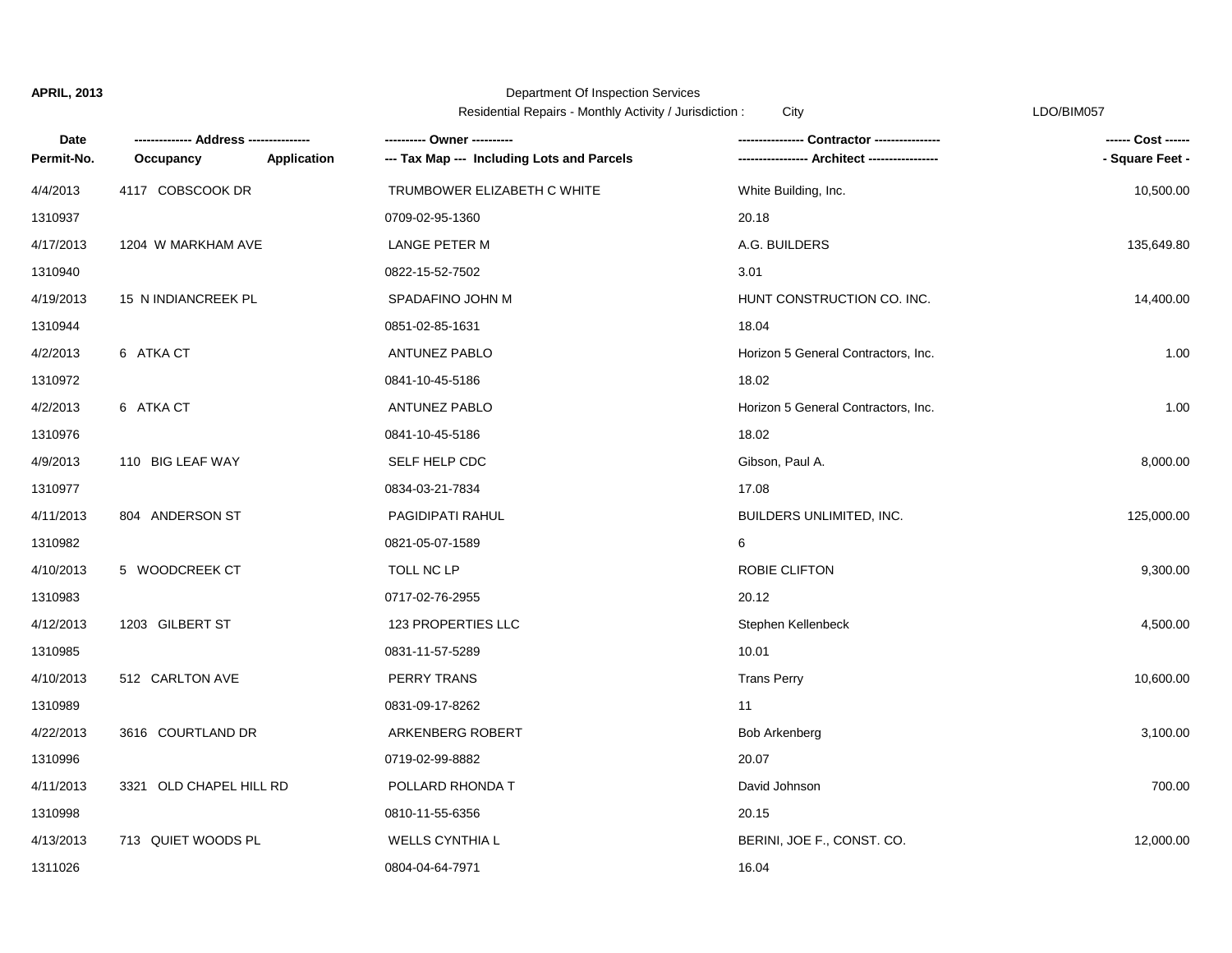|            |                         |                    | Residential Repairs - Monthly Activity / Jurisdiction: | City                                | LDO/BIM057      |
|------------|-------------------------|--------------------|--------------------------------------------------------|-------------------------------------|-----------------|
| Date       |                         |                    | ---------- Owner ----------                            |                                     |                 |
| Permit-No. | Occupancy               | <b>Application</b> | --- Tax Map --- Including Lots and Parcels             |                                     | - Square Feet - |
| 4/4/2013   | 4117 COBSCOOK DR        |                    | TRUMBOWER ELIZABETH C WHITE                            | White Building, Inc.                | 10,500.00       |
| 1310937    |                         |                    | 0709-02-95-1360                                        | 20.18                               |                 |
| 4/17/2013  | 1204 W MARKHAM AVE      |                    | LANGE PETER M                                          | A.G. BUILDERS                       | 135,649.80      |
| 1310940    |                         |                    | 0822-15-52-7502                                        | 3.01                                |                 |
| 4/19/2013  | 15 N INDIANCREEK PL     |                    | SPADAFINO JOHN M                                       | HUNT CONSTRUCTION CO. INC.          | 14,400.00       |
| 1310944    |                         |                    | 0851-02-85-1631                                        | 18.04                               |                 |
| 4/2/2013   | 6 ATKA CT               |                    | ANTUNEZ PABLO                                          | Horizon 5 General Contractors, Inc. | 1.00            |
| 1310972    |                         |                    | 0841-10-45-5186                                        | 18.02                               |                 |
| 4/2/2013   | 6 ATKA CT               |                    | ANTUNEZ PABLO                                          | Horizon 5 General Contractors, Inc. | 1.00            |
| 1310976    |                         |                    | 0841-10-45-5186                                        | 18.02                               |                 |
| 4/9/2013   | 110 BIG LEAF WAY        |                    | SELF HELP CDC                                          | Gibson, Paul A.                     | 8,000.00        |
| 1310977    |                         |                    | 0834-03-21-7834                                        | 17.08                               |                 |
| 4/11/2013  | 804 ANDERSON ST         |                    | PAGIDIPATI RAHUL                                       | BUILDERS UNLIMITED, INC.            | 125,000.00      |
| 1310982    |                         |                    | 0821-05-07-1589                                        | 6                                   |                 |
| 4/10/2013  | 5 WOODCREEK CT          |                    | TOLL NC LP                                             | ROBIE CLIFTON                       | 9,300.00        |
| 1310983    |                         |                    | 0717-02-76-2955                                        | 20.12                               |                 |
| 4/12/2013  | 1203 GILBERT ST         |                    | 123 PROPERTIES LLC                                     | Stephen Kellenbeck                  | 4,500.00        |
| 1310985    |                         |                    | 0831-11-57-5289                                        | 10.01                               |                 |
| 4/10/2013  | 512 CARLTON AVE         |                    | PERRY TRANS                                            | <b>Trans Perry</b>                  | 10,600.00       |
| 1310989    |                         |                    | 0831-09-17-8262                                        | 11                                  |                 |
| 4/22/2013  | 3616 COURTLAND DR       |                    | ARKENBERG ROBERT                                       | <b>Bob Arkenberg</b>                | 3,100.00        |
| 1310996    |                         |                    | 0719-02-99-8882                                        | 20.07                               |                 |
| 4/11/2013  | 3321 OLD CHAPEL HILL RD |                    | POLLARD RHONDA T                                       | David Johnson                       | 700.00          |
| 1310998    |                         |                    | 0810-11-55-6356                                        | 20.15                               |                 |
| 4/13/2013  | 713 QUIET WOODS PL      |                    | <b>WELLS CYNTHIA L</b>                                 | BERINI, JOE F., CONST. CO.          | 12,000.00       |
| 1311026    |                         |                    | 0804-04-64-7971                                        | 16.04                               |                 |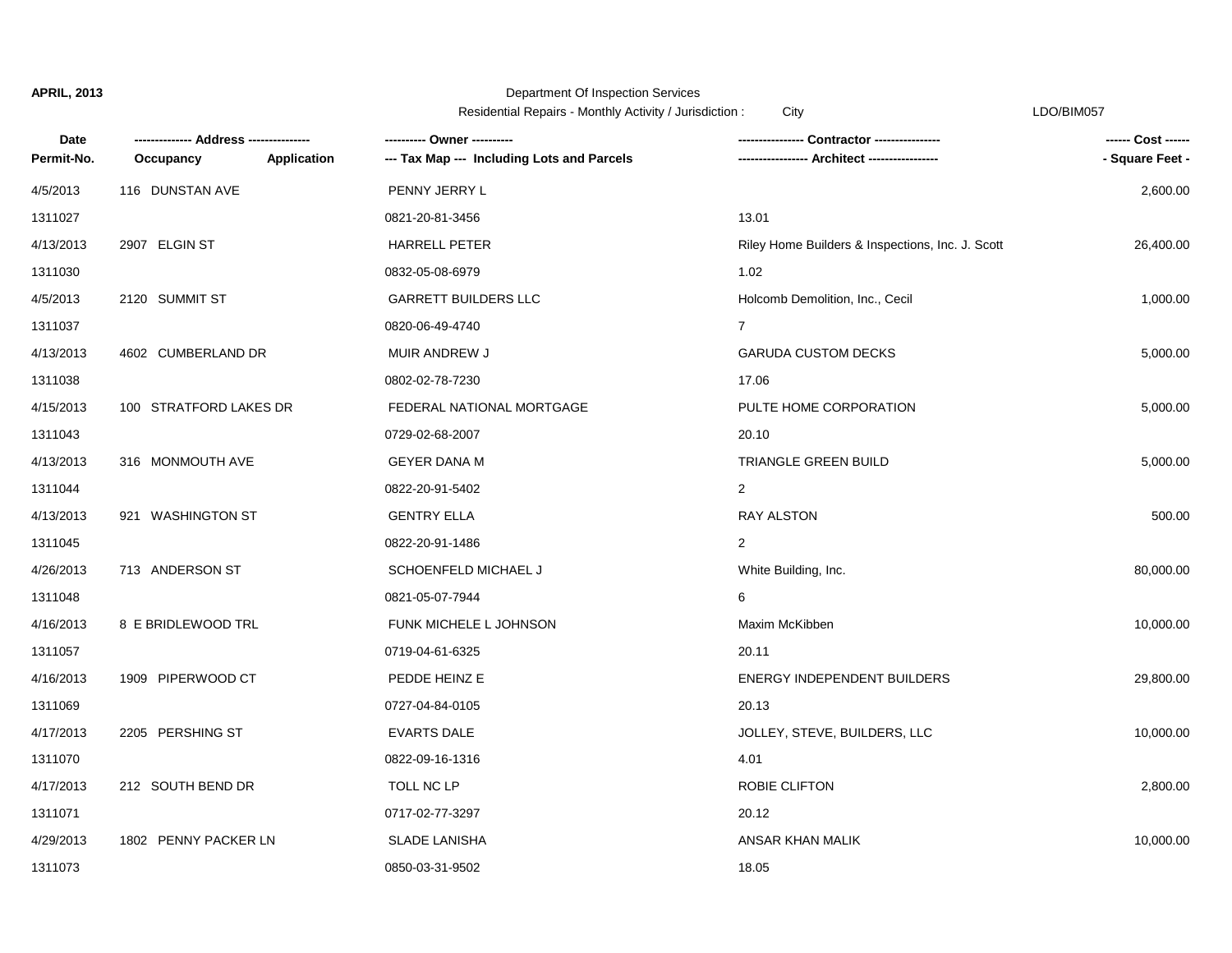# Department Of Inspection Services

Residential Repairs - Monthly Activity / Jurisdiction : City Changes Contained the CDO/BIM057

| Date       |                          | ---------- Owner ----------                |                                                  | ------ Cost ------ |
|------------|--------------------------|--------------------------------------------|--------------------------------------------------|--------------------|
| Permit-No. | Application<br>Occupancy | --- Tax Map --- Including Lots and Parcels |                                                  | - Square Feet -    |
| 4/5/2013   | 116 DUNSTAN AVE          | PENNY JERRY L                              |                                                  | 2,600.00           |
| 1311027    |                          | 0821-20-81-3456                            | 13.01                                            |                    |
| 4/13/2013  | 2907 ELGIN ST            | <b>HARRELL PETER</b>                       | Riley Home Builders & Inspections, Inc. J. Scott | 26,400.00          |
| 1311030    |                          | 0832-05-08-6979                            | 1.02                                             |                    |
| 4/5/2013   | 2120 SUMMIT ST           | <b>GARRETT BUILDERS LLC</b>                | Holcomb Demolition, Inc., Cecil                  | 1,000.00           |
| 1311037    |                          | 0820-06-49-4740                            | $\overline{7}$                                   |                    |
| 4/13/2013  | 4602 CUMBERLAND DR       | MUIR ANDREW J                              | <b>GARUDA CUSTOM DECKS</b>                       | 5,000.00           |
| 1311038    |                          | 0802-02-78-7230                            | 17.06                                            |                    |
| 4/15/2013  | 100 STRATFORD LAKES DR   | FEDERAL NATIONAL MORTGAGE                  | PULTE HOME CORPORATION                           | 5,000.00           |
| 1311043    |                          | 0729-02-68-2007                            | 20.10                                            |                    |
| 4/13/2013  | 316 MONMOUTH AVE         | <b>GEYER DANA M</b>                        | TRIANGLE GREEN BUILD                             | 5,000.00           |
| 1311044    |                          | 0822-20-91-5402                            | $\overline{2}$                                   |                    |
| 4/13/2013  | 921 WASHINGTON ST        | <b>GENTRY ELLA</b>                         | <b>RAY ALSTON</b>                                | 500.00             |
| 1311045    |                          | 0822-20-91-1486                            | $\overline{2}$                                   |                    |
| 4/26/2013  | 713 ANDERSON ST          | SCHOENFELD MICHAEL J                       | White Building, Inc.                             | 80,000.00          |
| 1311048    |                          | 0821-05-07-7944                            | 6                                                |                    |
| 4/16/2013  | 8 E BRIDLEWOOD TRL       | FUNK MICHELE L JOHNSON                     | Maxim McKibben                                   | 10,000.00          |
| 1311057    |                          | 0719-04-61-6325                            | 20.11                                            |                    |
| 4/16/2013  | 1909 PIPERWOOD CT        | PEDDE HEINZ E                              | <b>ENERGY INDEPENDENT BUILDERS</b>               | 29,800.00          |
| 1311069    |                          | 0727-04-84-0105                            | 20.13                                            |                    |
| 4/17/2013  | 2205 PERSHING ST         | <b>EVARTS DALE</b>                         | JOLLEY, STEVE, BUILDERS, LLC                     | 10,000.00          |
| 1311070    |                          | 0822-09-16-1316                            | 4.01                                             |                    |
| 4/17/2013  | 212 SOUTH BEND DR        | TOLL NC LP                                 | ROBIE CLIFTON                                    | 2,800.00           |
| 1311071    |                          | 0717-02-77-3297                            | 20.12                                            |                    |
| 4/29/2013  | 1802 PENNY PACKER LN     | <b>SLADE LANISHA</b>                       | ANSAR KHAN MALIK                                 | 10,000.00          |
| 1311073    |                          | 0850-03-31-9502                            | 18.05                                            |                    |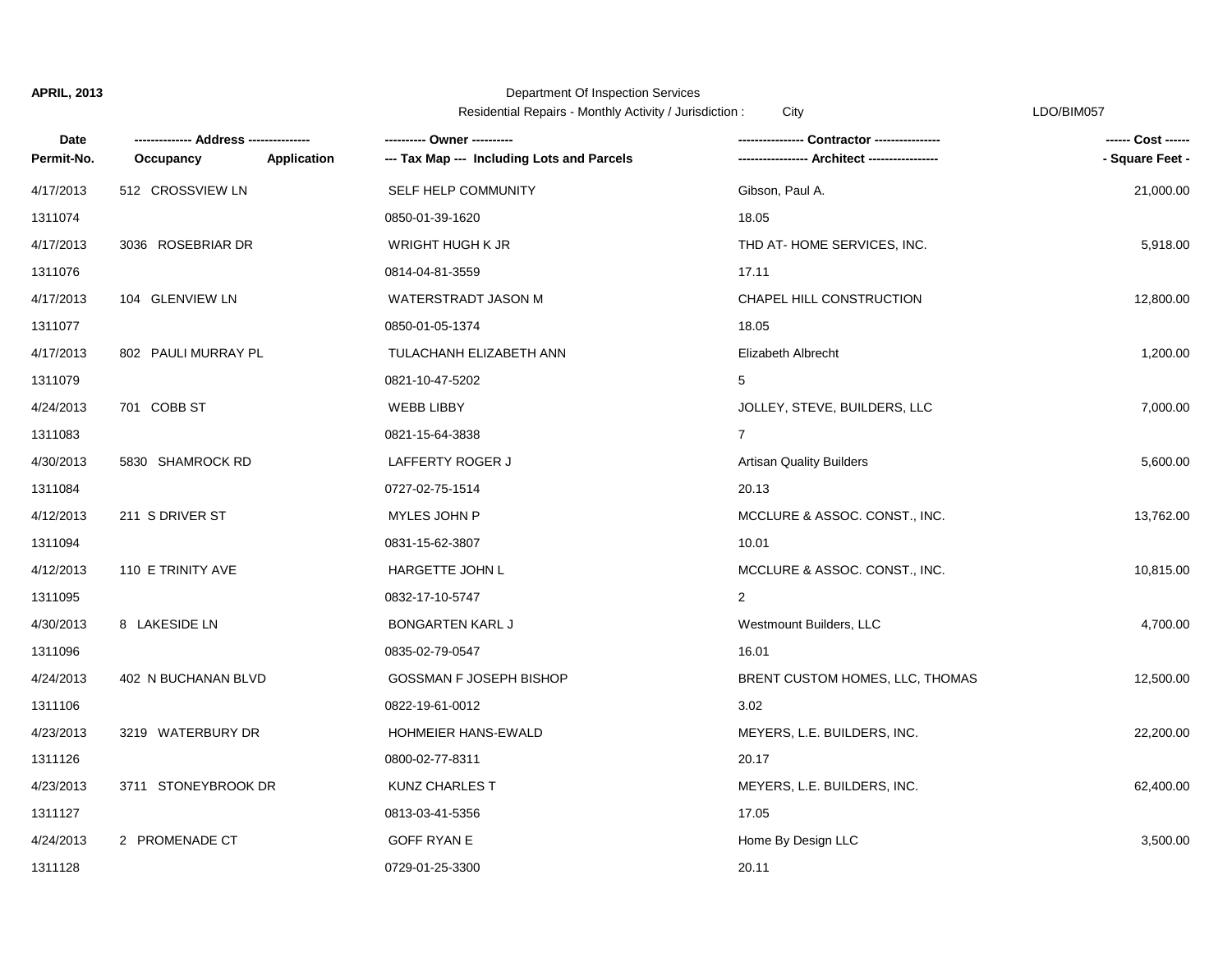## Department Of Inspection Services

Residential Repairs - Monthly Activity / Jurisdiction : City LDO/BIM057

| Date       |                     |                    | ---------- Owner ----------                | <b>Contractor ---------------</b> | ------ Cost ------ |
|------------|---------------------|--------------------|--------------------------------------------|-----------------------------------|--------------------|
| Permit-No. | Occupancy           | <b>Application</b> | --- Tax Map --- Including Lots and Parcels | --- Architect -----------------   | - Square Feet -    |
| 4/17/2013  | 512 CROSSVIEW LN    |                    | SELF HELP COMMUNITY                        | Gibson, Paul A.                   | 21,000.00          |
| 1311074    |                     |                    | 0850-01-39-1620                            | 18.05                             |                    |
| 4/17/2013  | 3036 ROSEBRIAR DR   |                    | WRIGHT HUGH K JR                           | THD AT-HOME SERVICES, INC.        | 5,918.00           |
| 1311076    |                     |                    | 0814-04-81-3559                            | 17.11                             |                    |
| 4/17/2013  | 104 GLENVIEW LN     |                    | WATERSTRADT JASON M                        | CHAPEL HILL CONSTRUCTION          | 12,800.00          |
| 1311077    |                     |                    | 0850-01-05-1374                            | 18.05                             |                    |
| 4/17/2013  | 802 PAULI MURRAY PL |                    | TULACHANH ELIZABETH ANN                    | Elizabeth Albrecht                | 1,200.00           |
| 1311079    |                     |                    | 0821-10-47-5202                            | 5                                 |                    |
| 4/24/2013  | 701 COBB ST         |                    | <b>WEBB LIBBY</b>                          | JOLLEY, STEVE, BUILDERS, LLC      | 7,000.00           |
| 1311083    |                     |                    | 0821-15-64-3838                            | $\overline{7}$                    |                    |
| 4/30/2013  | 5830 SHAMROCK RD    |                    | LAFFERTY ROGER J                           | <b>Artisan Quality Builders</b>   | 5,600.00           |
| 1311084    |                     |                    | 0727-02-75-1514                            | 20.13                             |                    |
| 4/12/2013  | 211 S DRIVER ST     |                    | MYLES JOHN P                               | MCCLURE & ASSOC. CONST., INC.     | 13,762.00          |
| 1311094    |                     |                    | 0831-15-62-3807                            | 10.01                             |                    |
| 4/12/2013  | 110 E TRINITY AVE   |                    | HARGETTE JOHN L                            | MCCLURE & ASSOC. CONST., INC.     | 10,815.00          |
| 1311095    |                     |                    | 0832-17-10-5747                            | $\overline{2}$                    |                    |
| 4/30/2013  | 8 LAKESIDE LN       |                    | <b>BONGARTEN KARL J</b>                    | Westmount Builders, LLC           | 4,700.00           |
| 1311096    |                     |                    | 0835-02-79-0547                            | 16.01                             |                    |
| 4/24/2013  | 402 N BUCHANAN BLVD |                    | GOSSMAN F JOSEPH BISHOP                    | BRENT CUSTOM HOMES, LLC, THOMAS   | 12,500.00          |
| 1311106    |                     |                    | 0822-19-61-0012                            | 3.02                              |                    |
| 4/23/2013  | 3219 WATERBURY DR   |                    | <b>HOHMEIER HANS-EWALD</b>                 | MEYERS, L.E. BUILDERS, INC.       | 22,200.00          |
| 1311126    |                     |                    | 0800-02-77-8311                            | 20.17                             |                    |
| 4/23/2013  | 3711 STONEYBROOK DR |                    | KUNZ CHARLES T                             | MEYERS, L.E. BUILDERS, INC.       | 62,400.00          |
| 1311127    |                     |                    | 0813-03-41-5356                            | 17.05                             |                    |
| 4/24/2013  | 2 PROMENADE CT      |                    | <b>GOFF RYAN E</b>                         | Home By Design LLC                | 3,500.00           |
| 1311128    |                     |                    | 0729-01-25-3300                            | 20.11                             |                    |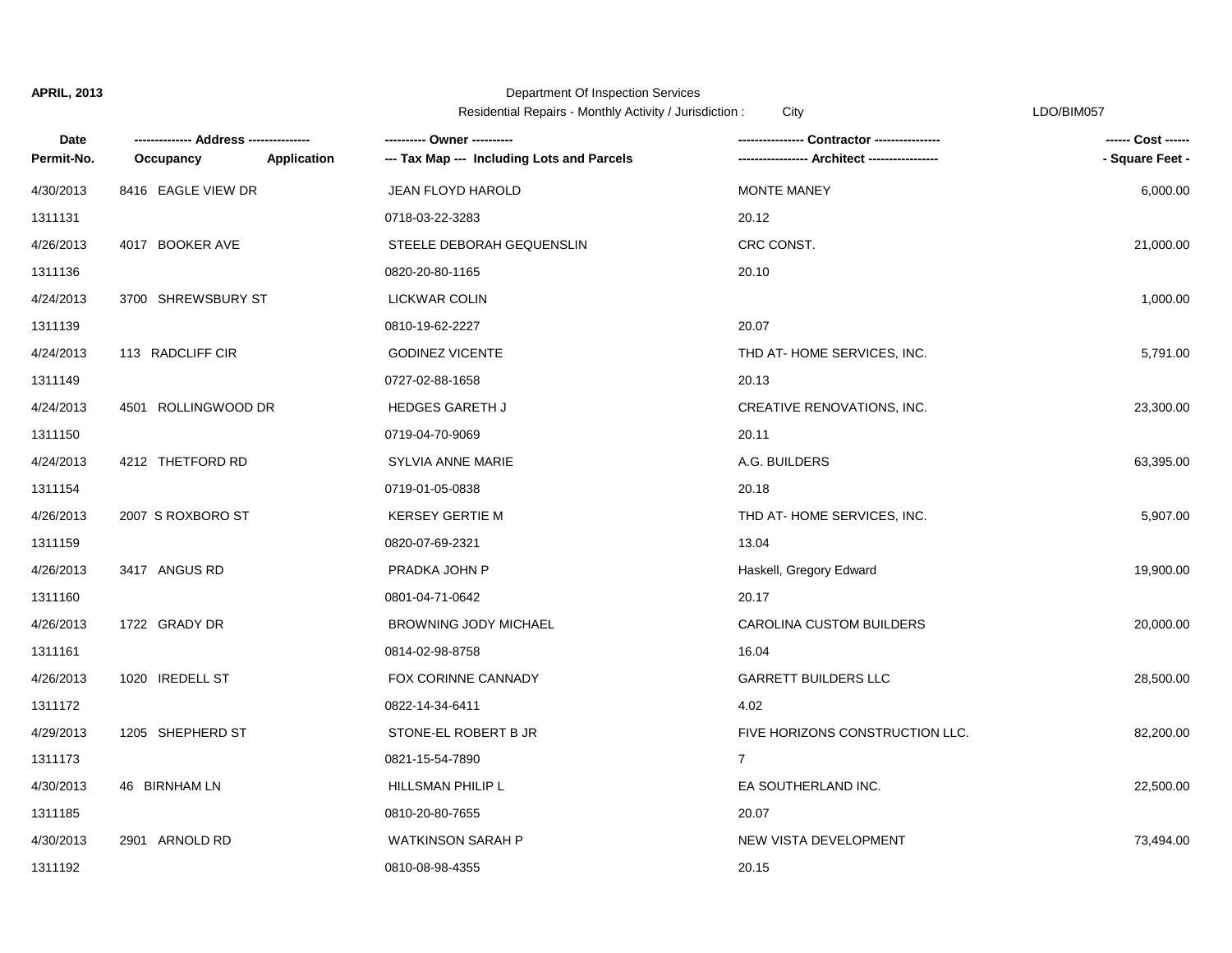|            |                      |                    | Residential Repairs - Monthly Activity / Jurisdiction : | City                            | LDO/BIM057         |
|------------|----------------------|--------------------|---------------------------------------------------------|---------------------------------|--------------------|
| Date       | -- Address --------- |                    | ---------- Owner ----------                             | Contractor ---------------      | ------ Cost ------ |
| Permit-No. | Occupancy            | <b>Application</b> | --- Tax Map --- Including Lots and Parcels              | -- Architect ------             | - Square Feet -    |
| 4/30/2013  | 8416 EAGLE VIEW DR   |                    | <b>JEAN FLOYD HAROLD</b>                                | MONTE MANEY                     | 6,000.00           |
| 1311131    |                      |                    | 0718-03-22-3283                                         | 20.12                           |                    |
| 4/26/2013  | 4017 BOOKER AVE      |                    | STEELE DEBORAH GEQUENSLIN                               | CRC CONST.                      | 21,000.00          |
| 1311136    |                      |                    | 0820-20-80-1165                                         | 20.10                           |                    |
| 4/24/2013  | 3700 SHREWSBURY ST   |                    | LICKWAR COLIN                                           |                                 | 1,000.00           |
| 1311139    |                      |                    | 0810-19-62-2227                                         | 20.07                           |                    |
| 4/24/2013  | 113 RADCLIFF CIR     |                    | <b>GODINEZ VICENTE</b>                                  | THD AT-HOME SERVICES, INC.      | 5,791.00           |
| 1311149    |                      |                    | 0727-02-88-1658                                         | 20.13                           |                    |
| 4/24/2013  | 4501 ROLLINGWOOD DR  |                    | HEDGES GARETH J                                         | CREATIVE RENOVATIONS, INC.      | 23,300.00          |
| 1311150    |                      |                    | 0719-04-70-9069                                         | 20.11                           |                    |
| 4/24/2013  | 4212 THETFORD RD     |                    | SYLVIA ANNE MARIE                                       | A.G. BUILDERS                   | 63,395.00          |
| 1311154    |                      |                    | 0719-01-05-0838                                         | 20.18                           |                    |
| 4/26/2013  | 2007 S ROXBORO ST    |                    | <b>KERSEY GERTIE M</b>                                  | THD AT-HOME SERVICES, INC.      | 5,907.00           |
| 1311159    |                      |                    | 0820-07-69-2321                                         | 13.04                           |                    |
| 4/26/2013  | 3417 ANGUS RD        |                    | PRADKA JOHN P                                           | Haskell, Gregory Edward         | 19,900.00          |
| 1311160    |                      |                    | 0801-04-71-0642                                         | 20.17                           |                    |
| 4/26/2013  | 1722 GRADY DR        |                    | BROWNING JODY MICHAEL                                   | CAROLINA CUSTOM BUILDERS        | 20,000.00          |
| 1311161    |                      |                    | 0814-02-98-8758                                         | 16.04                           |                    |
| 4/26/2013  | 1020 IREDELL ST      |                    | FOX CORINNE CANNADY                                     | <b>GARRETT BUILDERS LLC</b>     | 28,500.00          |
| 1311172    |                      |                    | 0822-14-34-6411                                         | 4.02                            |                    |
| 4/29/2013  | 1205 SHEPHERD ST     |                    | STONE-EL ROBERT B JR                                    | FIVE HORIZONS CONSTRUCTION LLC. | 82,200.00          |
| 1311173    |                      |                    | 0821-15-54-7890                                         | $\overline{7}$                  |                    |
| 4/30/2013  | 46 BIRNHAM LN        |                    | HILLSMAN PHILIP L                                       | EA SOUTHERLAND INC.             | 22,500.00          |
| 1311185    |                      |                    | 0810-20-80-7655                                         | 20.07                           |                    |
| 4/30/2013  | 2901 ARNOLD RD       |                    | <b>WATKINSON SARAH P</b>                                | NEW VISTA DEVELOPMENT           | 73,494.00          |
| 1311192    |                      |                    | 0810-08-98-4355                                         | 20.15                           |                    |